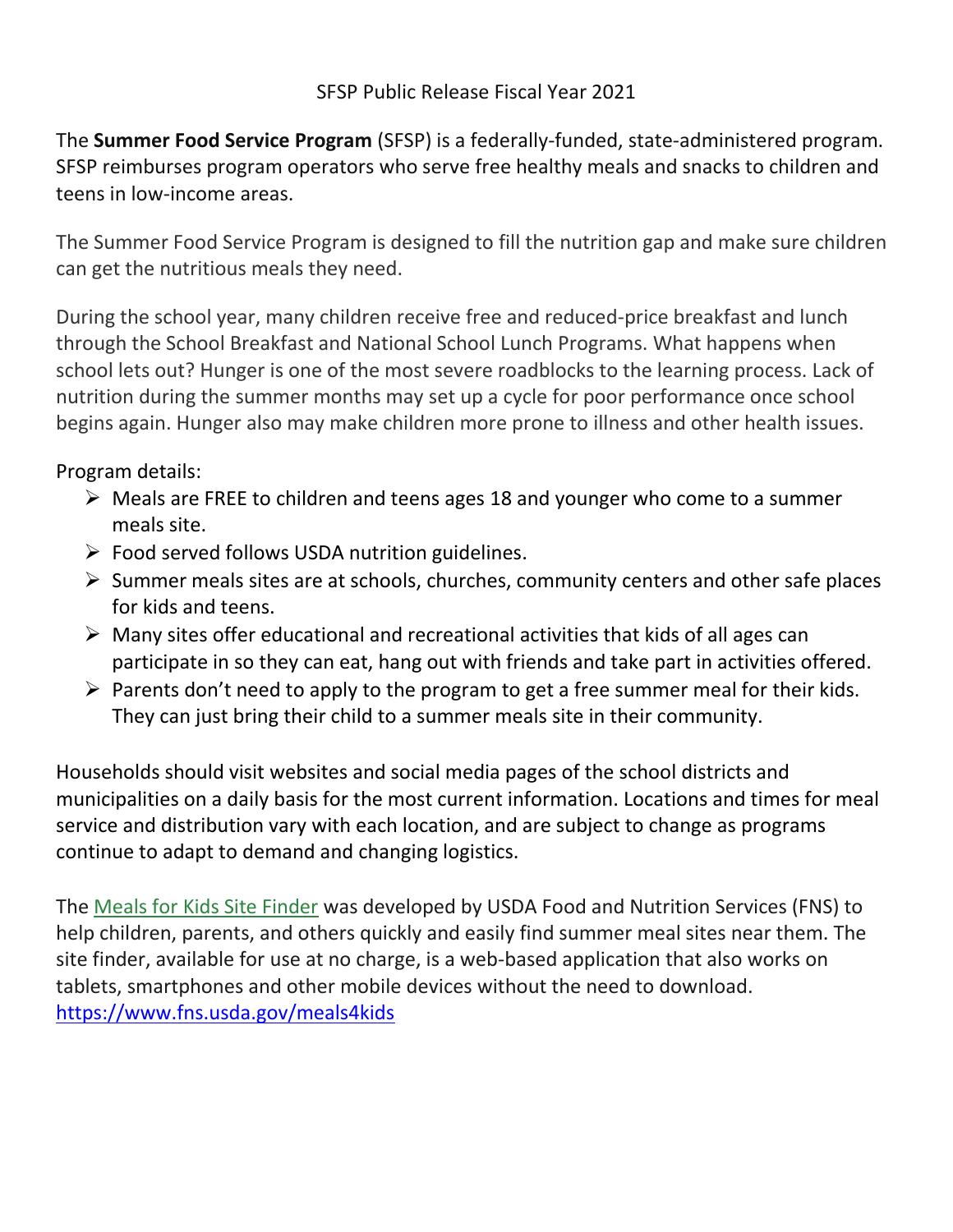The **Summer Food Service Program** (SFSP) is a federally-funded, state-administered program. SFSP reimburses program operators who serve free healthy meals and snacks to children and teens in low-income areas.

The Summer Food Service Program is designed to fill the nutrition gap and make sure children can get the nutritious meals they need.

During the school year, many children receive free and reduced-price breakfast and lunch through the School Breakfast and National School Lunch Programs. What happens when school lets out? Hunger is one of the most severe roadblocks to the learning process. Lack of nutrition during the summer months may set up a cycle for poor performance once school begins again. Hunger also may make children more prone to illness and other health issues.

Program details:

- Meals are FREE to children and teens ages 18 and younger who come to a summer meals site.
- Food served follows USDA nutrition guidelines.
- $\triangleright$  Summer meals sites are at schools, churches, community centers and other safe places for kids and teens.
- $\triangleright$  Many sites offer educational and recreational activities that kids of all ages can participate in so they can eat, hang out with friends and take part in activities offered.
- $\triangleright$  Parents don't need to apply to the program to get a free summer meal for their kids. They can just bring their child to a summer meals site in their community.

Households should visit websites and social media pages of the school districts and municipalities on a daily basis for the most current information. Locations and times for meal service and distribution vary with each location, and are subject to change as programs continue to adapt to demand and changing logistics.

The [Meals for Kids Site Finder](https://www.fns.usda.gov/meals4kids) was developed by USDA Food and Nutrition Services (FNS) to help children, parents, and others quickly and easily find summer meal sites near them. The site finder, available for use at no charge, is a web-based application that also works on tablets, smartphones and other mobile devices without the need to download. <https://www.fns.usda.gov/meals4kids>